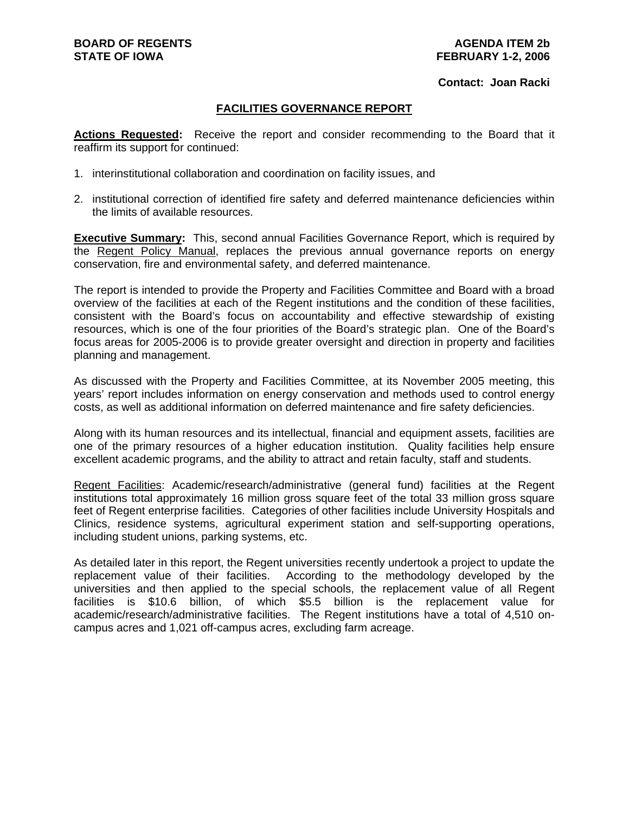#### **Contact: Joan Racki**

#### **FACILITIES GOVERNANCE REPORT**

**Actions Requested:** Receive the report and consider recommending to the Board that it reaffirm its support for continued:

- 1. interinstitutional collaboration and coordination on facility issues, and
- 2. institutional correction of identified fire safety and deferred maintenance deficiencies within the limits of available resources.

**Executive Summary:** This, second annual Facilities Governance Report, which is required by the Regent Policy Manual, replaces the previous annual governance reports on energy conservation, fire and environmental safety, and deferred maintenance.

The report is intended to provide the Property and Facilities Committee and Board with a broad overview of the facilities at each of the Regent institutions and the condition of these facilities, consistent with the Board's focus on accountability and effective stewardship of existing resources, which is one of the four priorities of the Board's strategic plan. One of the Board's focus areas for 2005-2006 is to provide greater oversight and direction in property and facilities planning and management.

As discussed with the Property and Facilities Committee, at its November 2005 meeting, this years' report includes information on energy conservation and methods used to control energy costs, as well as additional information on deferred maintenance and fire safety deficiencies.

Along with its human resources and its intellectual, financial and equipment assets, facilities are one of the primary resources of a higher education institution. Quality facilities help ensure excellent academic programs, and the ability to attract and retain faculty, staff and students.

Regent Facilities: Academic/research/administrative (general fund) facilities at the Regent institutions total approximately 16 million gross square feet of the total 33 million gross square feet of Regent enterprise facilities. Categories of other facilities include University Hospitals and Clinics, residence systems, agricultural experiment station and self-supporting operations, including student unions, parking systems, etc.

As detailed later in this report, the Regent universities recently undertook a project to update the replacement value of their facilities. According to the methodology developed by the universities and then applied to the special schools, the replacement value of all Regent facilities is \$10.6 billion, of which \$5.5 billion is the replacement value for academic/research/administrative facilities. The Regent institutions have a total of 4,510 oncampus acres and 1,021 off-campus acres, excluding farm acreage.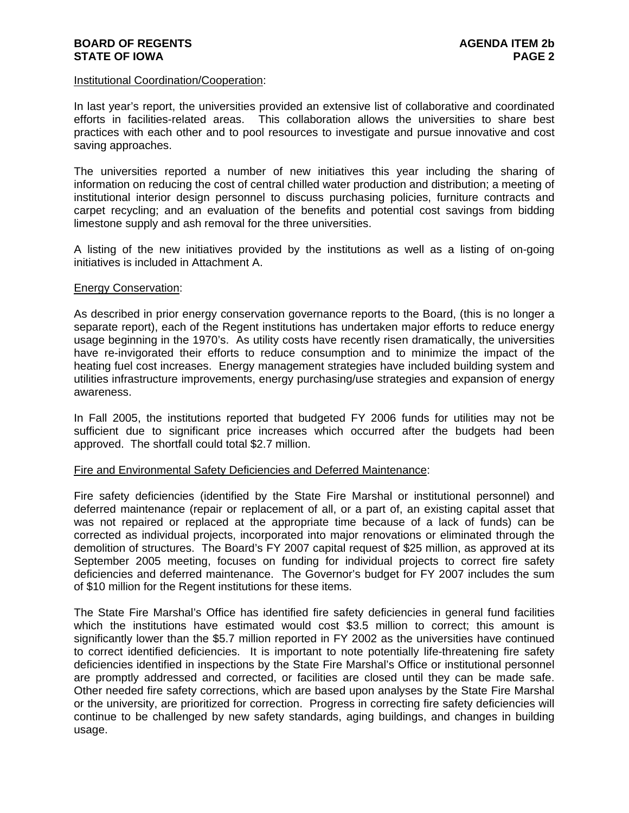#### **BOARD OF REGENTS AGENDA ITEM 2b STATE OF IOWA** PAGE 2

#### Institutional Coordination/Cooperation:

In last year's report, the universities provided an extensive list of collaborative and coordinated efforts in facilities-related areas. This collaboration allows the universities to share best practices with each other and to pool resources to investigate and pursue innovative and cost saving approaches.

The universities reported a number of new initiatives this year including the sharing of information on reducing the cost of central chilled water production and distribution; a meeting of institutional interior design personnel to discuss purchasing policies, furniture contracts and carpet recycling; and an evaluation of the benefits and potential cost savings from bidding limestone supply and ash removal for the three universities.

A listing of the new initiatives provided by the institutions as well as a listing of on-going initiatives is included in Attachment A.

#### Energy Conservation:

As described in prior energy conservation governance reports to the Board, (this is no longer a separate report), each of the Regent institutions has undertaken major efforts to reduce energy usage beginning in the 1970's. As utility costs have recently risen dramatically, the universities have re-invigorated their efforts to reduce consumption and to minimize the impact of the heating fuel cost increases. Energy management strategies have included building system and utilities infrastructure improvements, energy purchasing/use strategies and expansion of energy awareness.

In Fall 2005, the institutions reported that budgeted FY 2006 funds for utilities may not be sufficient due to significant price increases which occurred after the budgets had been approved. The shortfall could total \$2.7 million.

#### Fire and Environmental Safety Deficiencies and Deferred Maintenance:

Fire safety deficiencies (identified by the State Fire Marshal or institutional personnel) and deferred maintenance (repair or replacement of all, or a part of, an existing capital asset that was not repaired or replaced at the appropriate time because of a lack of funds) can be corrected as individual projects, incorporated into major renovations or eliminated through the demolition of structures. The Board's FY 2007 capital request of \$25 million, as approved at its September 2005 meeting, focuses on funding for individual projects to correct fire safety deficiencies and deferred maintenance. The Governor's budget for FY 2007 includes the sum of \$10 million for the Regent institutions for these items.

The State Fire Marshal's Office has identified fire safety deficiencies in general fund facilities which the institutions have estimated would cost \$3.5 million to correct; this amount is significantly lower than the \$5.7 million reported in FY 2002 as the universities have continued to correct identified deficiencies. It is important to note potentially life-threatening fire safety deficiencies identified in inspections by the State Fire Marshal's Office or institutional personnel are promptly addressed and corrected, or facilities are closed until they can be made safe. Other needed fire safety corrections, which are based upon analyses by the State Fire Marshal or the university, are prioritized for correction. Progress in correcting fire safety deficiencies will continue to be challenged by new safety standards, aging buildings, and changes in building usage.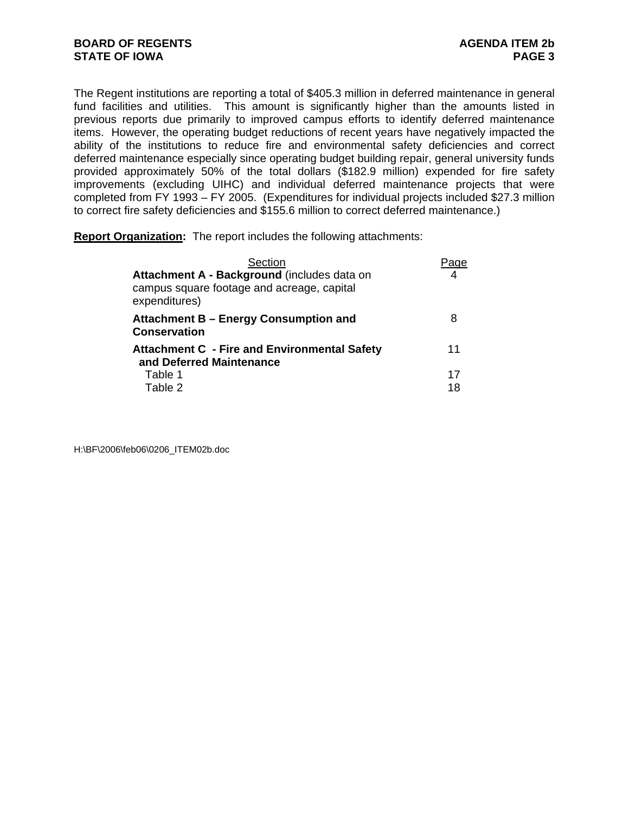The Regent institutions are reporting a total of \$405.3 million in deferred maintenance in general fund facilities and utilities. This amount is significantly higher than the amounts listed in previous reports due primarily to improved campus efforts to identify deferred maintenance items. However, the operating budget reductions of recent years have negatively impacted the ability of the institutions to reduce fire and environmental safety deficiencies and correct deferred maintenance especially since operating budget building repair, general university funds provided approximately 50% of the total dollars (\$182.9 million) expended for fire safety improvements (excluding UIHC) and individual deferred maintenance projects that were completed from FY 1993 – FY 2005. (Expenditures for individual projects included \$27.3 million to correct fire safety deficiencies and \$155.6 million to correct deferred maintenance.)

**Report Organization:** The report includes the following attachments:

| Section                                                                                                    |    |
|------------------------------------------------------------------------------------------------------------|----|
| Attachment A - Background (includes data on<br>campus square footage and acreage, capital<br>expenditures) |    |
| Attachment B – Energy Consumption and<br><b>Conservation</b>                                               | 8  |
| <b>Attachment C - Fire and Environmental Safety</b><br>and Deferred Maintenance                            | 11 |
| Table 1                                                                                                    | 17 |
| Table 2                                                                                                    | 18 |

H:\BF\2006\feb06\0206\_ITEM02b.doc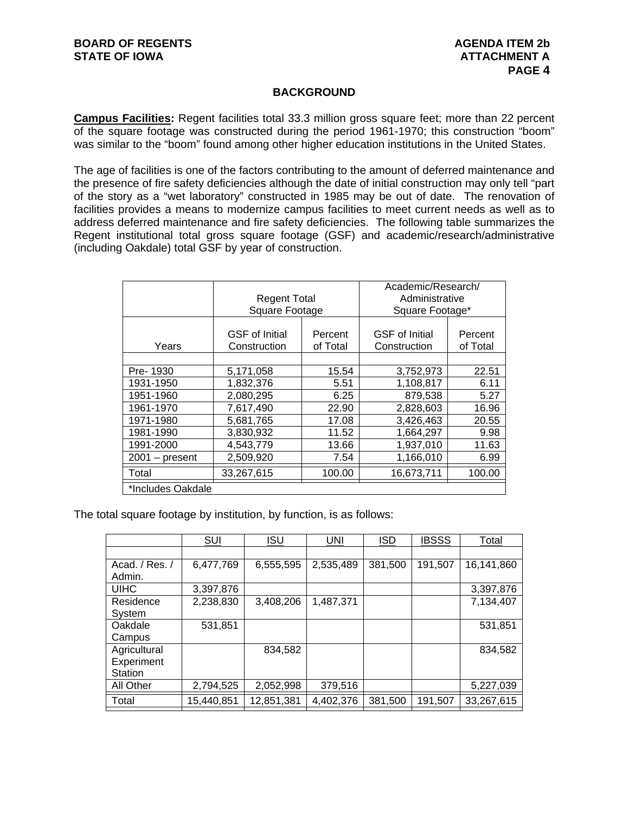#### **BACKGROUND**

**Campus Facilities:** Regent facilities total 33.3 million gross square feet; more than 22 percent of the square footage was constructed during the period 1961-1970; this construction "boom" was similar to the "boom" found among other higher education institutions in the United States.

The age of facilities is one of the factors contributing to the amount of deferred maintenance and the presence of fire safety deficiencies although the date of initial construction may only tell "part of the story as a "wet laboratory" constructed in 1985 may be out of date. The renovation of facilities provides a means to modernize campus facilities to meet current needs as well as to address deferred maintenance and fire safety deficiencies. The following table summarizes the Regent institutional total gross square footage (GSF) and academic/research/administrative (including Oakdale) total GSF by year of construction.

|                   | <b>Regent Total</b><br>Square Footage |                     | Academic/Research/<br>Administrative<br>Square Footage* |                     |
|-------------------|---------------------------------------|---------------------|---------------------------------------------------------|---------------------|
| Years             | <b>GSF</b> of Initial<br>Construction | Percent<br>of Total | <b>GSF</b> of Initial<br>Construction                   | Percent<br>of Total |
| Pre-1930          | 5,171,058                             | 15.54               | 3,752,973                                               | 22.51               |
| 1931-1950         | 1,832,376                             | 5.51                | 1,108,817                                               | 6.11                |
| 1951-1960         | 2,080,295                             | 6.25                | 879,538                                                 | 5.27                |
| 1961-1970         | 7,617,490                             | 22.90               | 2,828,603                                               | 16.96               |
| 1971-1980         | 5,681,765                             | 17.08               | 3,426,463                                               | 20.55               |
| 1981-1990         | 3,830,932                             | 11.52               | 1,664,297                                               | 9.98                |
| 1991-2000         | 4,543,779                             | 13.66               | 1,937,010                                               | 11.63               |
| $2001 - present$  | 2,509,920                             | 7.54                | 1,166,010                                               | 6.99                |
| Total             | 33,267,615                            | 100.00              | 16,673,711                                              | 100.00              |
| *Includes Oakdale |                                       |                     |                                                         |                     |

The total square footage by institution, by function, is as follows:

|                | <b>SUI</b> | ISU        | <b>UNI</b> | ISD     | IBSSS   | Total      |
|----------------|------------|------------|------------|---------|---------|------------|
|                |            |            |            |         |         |            |
| Acad. / Res. / | 6,477,769  | 6,555,595  | 2,535,489  | 381,500 | 191,507 | 16,141,860 |
| Admin.         |            |            |            |         |         |            |
| <b>UIHC</b>    | 3.397.876  |            |            |         |         | 3,397,876  |
| Residence      | 2,238,830  | 3,408,206  | 1,487,371  |         |         | 7,134,407  |
| System         |            |            |            |         |         |            |
| Oakdale        | 531,851    |            |            |         |         | 531,851    |
| Campus         |            |            |            |         |         |            |
| Agricultural   |            | 834,582    |            |         |         | 834,582    |
| Experiment     |            |            |            |         |         |            |
| Station        |            |            |            |         |         |            |
| All Other      | 2,794,525  | 2,052,998  | 379,516    |         |         | 5,227,039  |
| Total          | 15,440,851 | 12,851,381 | 4,402,376  | 381,500 | 191,507 | 33,267,615 |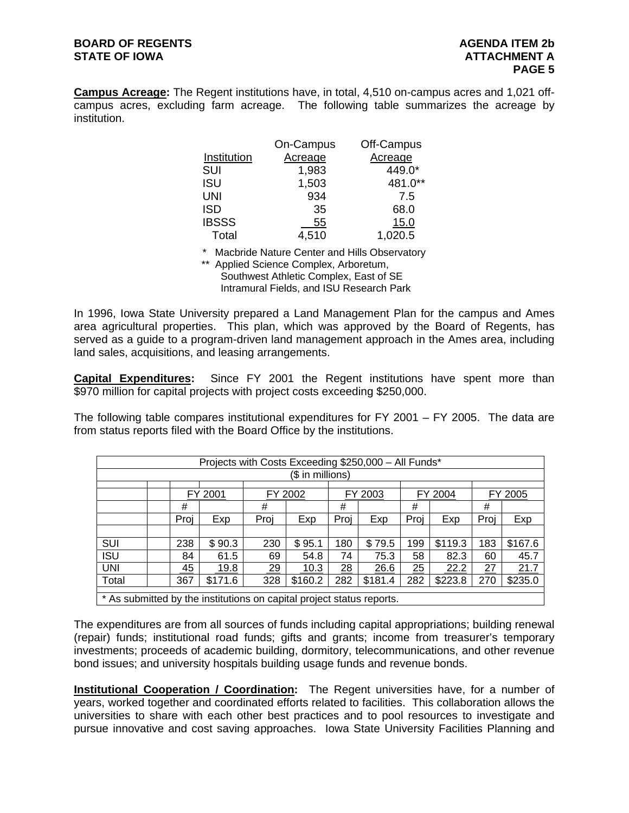# **BOARD OF REGENTS AGENDA ITEM 2b STATE OF IOWA ATTACHMENT A**

**Campus Acreage:** The Regent institutions have, in total, 4,510 on-campus acres and 1,021 offcampus acres, excluding farm acreage. The following table summarizes the acreage by institution.

|              | On-Campus | Off-Campus |
|--------------|-----------|------------|
| Institution  | Acreage   | Acreage    |
| SUI          | 1,983     | 449.0*     |
| <b>ISU</b>   | 1,503     | 481.0**    |
| UNI          | 934       | 7.5        |
| <b>ISD</b>   | 35        | 68.0       |
| <b>IBSSS</b> | 55        | 15.0       |
| Total        | 4,510     | 1,020.5    |

\* Macbride Nature Center and Hills Observatory

\*\* Applied Science Complex, Arboretum,

Southwest Athletic Complex, East of SE Intramural Fields, and ISU Research Park

In 1996, Iowa State University prepared a Land Management Plan for the campus and Ames area agricultural properties. This plan, which was approved by the Board of Regents, has served as a guide to a program-driven land management approach in the Ames area, including land sales, acquisitions, and leasing arrangements.

**Capital Expenditures:** Since FY 2001 the Regent institutions have spent more than \$970 million for capital projects with project costs exceeding \$250,000.

The following table compares institutional expenditures for FY 2001 – FY 2005. The data are from status reports filed with the Board Office by the institutions.

|                                                                       |      | Projects with Costs Exceeding \$250,000 - All Funds* |      |                  |      |         |      |         |      |         |
|-----------------------------------------------------------------------|------|------------------------------------------------------|------|------------------|------|---------|------|---------|------|---------|
|                                                                       |      |                                                      |      | (\$ in millions) |      |         |      |         |      |         |
|                                                                       |      | FY 2001                                              |      | FY 2002          |      | FY 2003 |      | FY 2004 |      | FY 2005 |
|                                                                       | #    |                                                      | #    |                  | #    |         | #    |         | #    |         |
|                                                                       | Proj | Exp                                                  | Proj | Exp              | Proj | Exp     | Proj | Exp     | Proj | Exp     |
|                                                                       |      |                                                      |      |                  |      |         |      |         |      |         |
| SUI                                                                   | 238  | \$90.3                                               | 230  | \$95.1           | 180  | \$79.5  | 199  | \$119.3 | 183  | \$167.6 |
| <b>ISU</b>                                                            | 84   | 61.5                                                 | 69   | 54.8             | 74   | 75.3    | 58   | 82.3    | 60   | 45.7    |
| <b>UNI</b>                                                            | 45   | 19.8                                                 | 29   | 10.3             | 28   | 26.6    | 25   | 22.2    | 27   | 21.7    |
| Total                                                                 | 367  | \$171.6                                              | 328  | \$160.2          | 282  | \$181.4 | 282  | \$223.8 | 270  | \$235.0 |
| * As submitted by the institutions on capital project status reports. |      |                                                      |      |                  |      |         |      |         |      |         |

The expenditures are from all sources of funds including capital appropriations; building renewal (repair) funds; institutional road funds; gifts and grants; income from treasurer's temporary investments; proceeds of academic building, dormitory, telecommunications, and other revenue bond issues; and university hospitals building usage funds and revenue bonds.

**Institutional Cooperation / Coordination:** The Regent universities have, for a number of years, worked together and coordinated efforts related to facilities. This collaboration allows the universities to share with each other best practices and to pool resources to investigate and pursue innovative and cost saving approaches. Iowa State University Facilities Planning and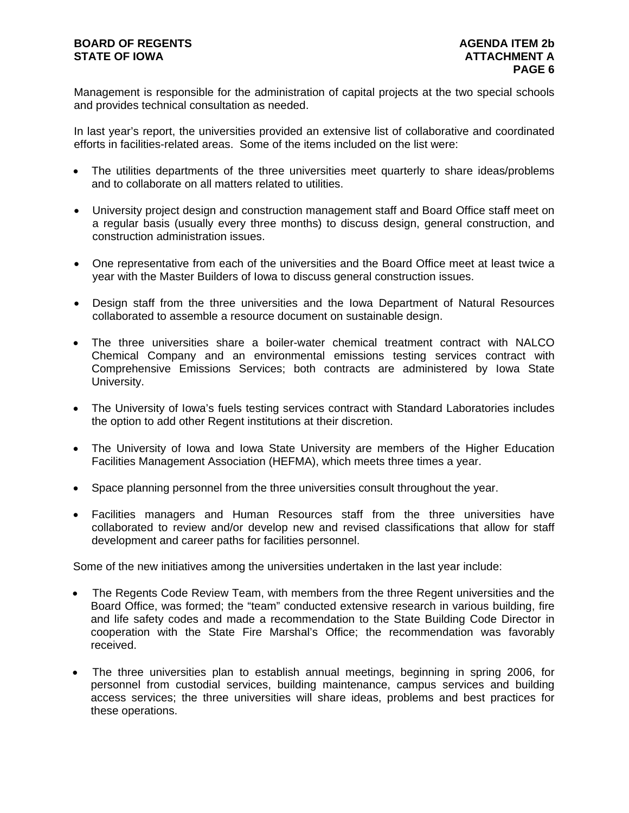Management is responsible for the administration of capital projects at the two special schools and provides technical consultation as needed.

In last year's report, the universities provided an extensive list of collaborative and coordinated efforts in facilities-related areas. Some of the items included on the list were:

- The utilities departments of the three universities meet quarterly to share ideas/problems and to collaborate on all matters related to utilities.
- University project design and construction management staff and Board Office staff meet on a regular basis (usually every three months) to discuss design, general construction, and construction administration issues.
- One representative from each of the universities and the Board Office meet at least twice a year with the Master Builders of Iowa to discuss general construction issues.
- Design staff from the three universities and the Iowa Department of Natural Resources collaborated to assemble a resource document on sustainable design.
- The three universities share a boiler-water chemical treatment contract with NALCO Chemical Company and an environmental emissions testing services contract with Comprehensive Emissions Services; both contracts are administered by Iowa State University.
- The University of Iowa's fuels testing services contract with Standard Laboratories includes the option to add other Regent institutions at their discretion.
- The University of Iowa and Iowa State University are members of the Higher Education Facilities Management Association (HEFMA), which meets three times a year.
- Space planning personnel from the three universities consult throughout the year.
- Facilities managers and Human Resources staff from the three universities have collaborated to review and/or develop new and revised classifications that allow for staff development and career paths for facilities personnel.

Some of the new initiatives among the universities undertaken in the last year include:

- The Regents Code Review Team, with members from the three Regent universities and the Board Office, was formed; the "team" conducted extensive research in various building, fire and life safety codes and made a recommendation to the State Building Code Director in cooperation with the State Fire Marshal's Office; the recommendation was favorably received.
- The three universities plan to establish annual meetings, beginning in spring 2006, for personnel from custodial services, building maintenance, campus services and building access services; the three universities will share ideas, problems and best practices for these operations.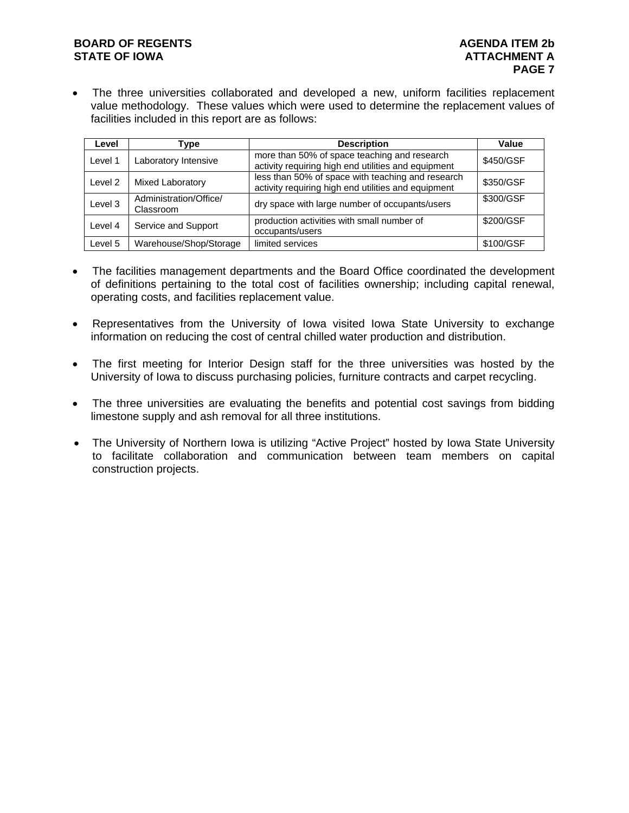# **BOARD OF REGENTS AGENUS AGENDA ITEM 2b STATE OF IOWA ATTACHMENT A**

The three universities collaborated and developed a new, uniform facilities replacement value methodology. These values which were used to determine the replacement values of facilities included in this report are as follows:

| Level   | Tvpe                                | <b>Description</b>                                                                                       | Value     |
|---------|-------------------------------------|----------------------------------------------------------------------------------------------------------|-----------|
| Level 1 | Laboratory Intensive                | more than 50% of space teaching and research<br>activity requiring high end utilities and equipment      | \$450/GSF |
| Level 2 | Mixed Laboratory                    | less than 50% of space with teaching and research<br>activity requiring high end utilities and equipment | \$350/GSF |
| Level 3 | Administration/Office/<br>Classroom | dry space with large number of occupants/users                                                           | \$300/GSF |
| Level 4 | Service and Support                 | production activities with small number of<br>occupants/users                                            | \$200/GSF |
| Level 5 | Warehouse/Shop/Storage              | limited services                                                                                         | \$100/GSF |

- The facilities management departments and the Board Office coordinated the development of definitions pertaining to the total cost of facilities ownership; including capital renewal, operating costs, and facilities replacement value.
- Representatives from the University of Iowa visited Iowa State University to exchange information on reducing the cost of central chilled water production and distribution.
- The first meeting for Interior Design staff for the three universities was hosted by the University of Iowa to discuss purchasing policies, furniture contracts and carpet recycling.
- The three universities are evaluating the benefits and potential cost savings from bidding limestone supply and ash removal for all three institutions.
- The University of Northern Iowa is utilizing "Active Project" hosted by Iowa State University to facilitate collaboration and communication between team members on capital construction projects.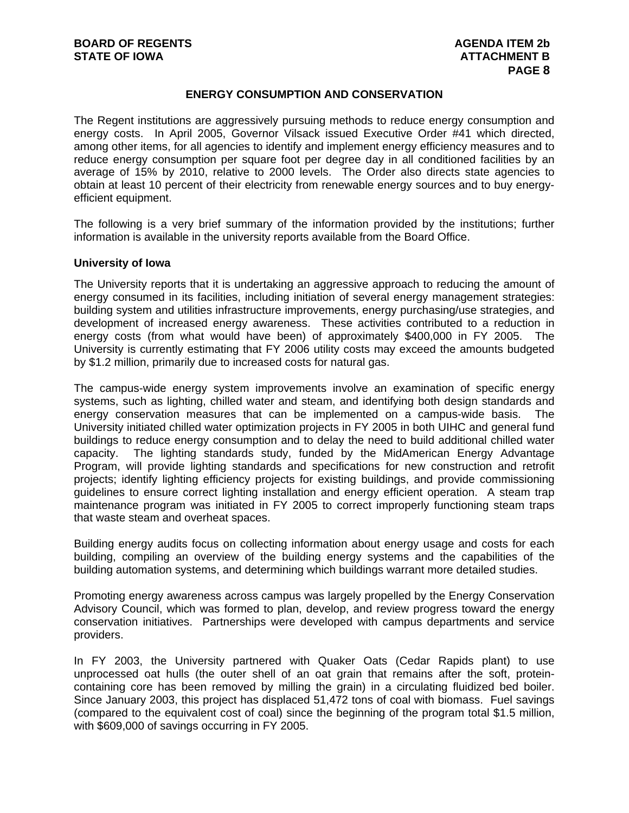#### **ENERGY CONSUMPTION AND CONSERVATION**

The Regent institutions are aggressively pursuing methods to reduce energy consumption and energy costs. In April 2005, Governor Vilsack issued Executive Order #41 which directed, among other items, for all agencies to identify and implement energy efficiency measures and to reduce energy consumption per square foot per degree day in all conditioned facilities by an average of 15% by 2010, relative to 2000 levels. The Order also directs state agencies to obtain at least 10 percent of their electricity from renewable energy sources and to buy energyefficient equipment.

The following is a very brief summary of the information provided by the institutions; further information is available in the university reports available from the Board Office.

#### **University of Iowa**

The University reports that it is undertaking an aggressive approach to reducing the amount of energy consumed in its facilities, including initiation of several energy management strategies: building system and utilities infrastructure improvements, energy purchasing/use strategies, and development of increased energy awareness. These activities contributed to a reduction in energy costs (from what would have been) of approximately \$400,000 in FY 2005. The University is currently estimating that FY 2006 utility costs may exceed the amounts budgeted by \$1.2 million, primarily due to increased costs for natural gas.

The campus-wide energy system improvements involve an examination of specific energy systems, such as lighting, chilled water and steam, and identifying both design standards and energy conservation measures that can be implemented on a campus-wide basis. The University initiated chilled water optimization projects in FY 2005 in both UIHC and general fund buildings to reduce energy consumption and to delay the need to build additional chilled water capacity. The lighting standards study, funded by the MidAmerican Energy Advantage Program, will provide lighting standards and specifications for new construction and retrofit projects; identify lighting efficiency projects for existing buildings, and provide commissioning guidelines to ensure correct lighting installation and energy efficient operation. A steam trap maintenance program was initiated in FY 2005 to correct improperly functioning steam traps that waste steam and overheat spaces.

Building energy audits focus on collecting information about energy usage and costs for each building, compiling an overview of the building energy systems and the capabilities of the building automation systems, and determining which buildings warrant more detailed studies.

Promoting energy awareness across campus was largely propelled by the Energy Conservation Advisory Council, which was formed to plan, develop, and review progress toward the energy conservation initiatives. Partnerships were developed with campus departments and service providers.

In FY 2003, the University partnered with Quaker Oats (Cedar Rapids plant) to use unprocessed oat hulls (the outer shell of an oat grain that remains after the soft, proteincontaining core has been removed by milling the grain) in a circulating fluidized bed boiler. Since January 2003, this project has displaced 51,472 tons of coal with biomass. Fuel savings (compared to the equivalent cost of coal) since the beginning of the program total \$1.5 million, with \$609,000 of savings occurring in FY 2005.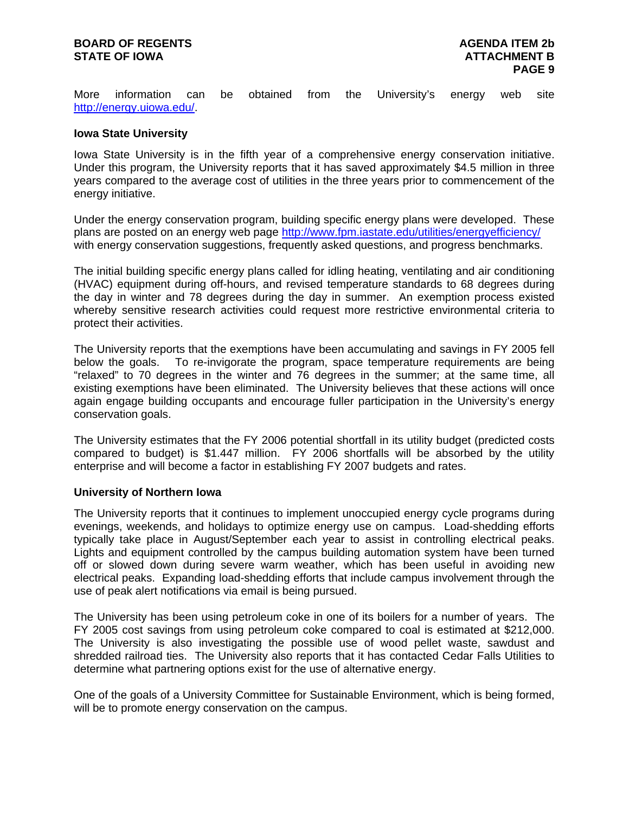## **BOARD OF REGENTS AGENUS AGENDA ITEM 2b STATE OF IOWA ATTACHMENT B**

More information can be obtained from the University's energy web site http://energy.uiowa.edu/.

#### **Iowa State University**

Iowa State University is in the fifth year of a comprehensive energy conservation initiative. Under this program, the University reports that it has saved approximately \$4.5 million in three years compared to the average cost of utilities in the three years prior to commencement of the energy initiative.

Under the energy conservation program, building specific energy plans were developed. These plans are posted on an energy web page http://www.fpm.iastate.edu/utilities/energyefficiency/ with energy conservation suggestions, frequently asked questions, and progress benchmarks.

The initial building specific energy plans called for idling heating, ventilating and air conditioning (HVAC) equipment during off-hours, and revised temperature standards to 68 degrees during the day in winter and 78 degrees during the day in summer. An exemption process existed whereby sensitive research activities could request more restrictive environmental criteria to protect their activities.

The University reports that the exemptions have been accumulating and savings in FY 2005 fell below the goals. To re-invigorate the program, space temperature requirements are being "relaxed" to 70 degrees in the winter and 76 degrees in the summer; at the same time, all existing exemptions have been eliminated. The University believes that these actions will once again engage building occupants and encourage fuller participation in the University's energy conservation goals.

The University estimates that the FY 2006 potential shortfall in its utility budget (predicted costs compared to budget) is \$1.447 million. FY 2006 shortfalls will be absorbed by the utility enterprise and will become a factor in establishing FY 2007 budgets and rates.

#### **University of Northern Iowa**

The University reports that it continues to implement unoccupied energy cycle programs during evenings, weekends, and holidays to optimize energy use on campus. Load-shedding efforts typically take place in August/September each year to assist in controlling electrical peaks. Lights and equipment controlled by the campus building automation system have been turned off or slowed down during severe warm weather, which has been useful in avoiding new electrical peaks. Expanding load-shedding efforts that include campus involvement through the use of peak alert notifications via email is being pursued.

The University has been using petroleum coke in one of its boilers for a number of years. The FY 2005 cost savings from using petroleum coke compared to coal is estimated at \$212,000. The University is also investigating the possible use of wood pellet waste, sawdust and shredded railroad ties. The University also reports that it has contacted Cedar Falls Utilities to determine what partnering options exist for the use of alternative energy.

One of the goals of a University Committee for Sustainable Environment, which is being formed, will be to promote energy conservation on the campus.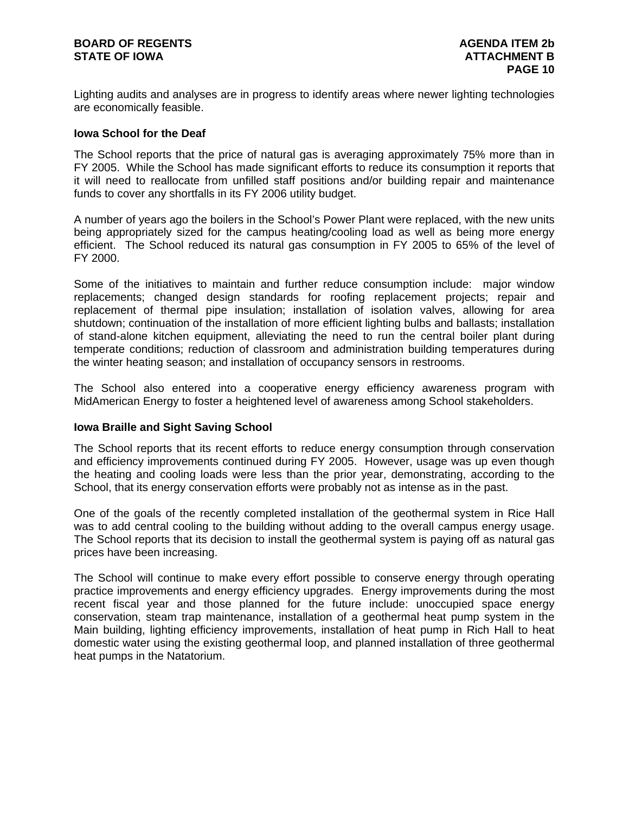Lighting audits and analyses are in progress to identify areas where newer lighting technologies are economically feasible.

#### **Iowa School for the Deaf**

The School reports that the price of natural gas is averaging approximately 75% more than in FY 2005. While the School has made significant efforts to reduce its consumption it reports that it will need to reallocate from unfilled staff positions and/or building repair and maintenance funds to cover any shortfalls in its FY 2006 utility budget.

A number of years ago the boilers in the School's Power Plant were replaced, with the new units being appropriately sized for the campus heating/cooling load as well as being more energy efficient. The School reduced its natural gas consumption in FY 2005 to 65% of the level of FY 2000.

Some of the initiatives to maintain and further reduce consumption include: major window replacements; changed design standards for roofing replacement projects; repair and replacement of thermal pipe insulation; installation of isolation valves, allowing for area shutdown; continuation of the installation of more efficient lighting bulbs and ballasts; installation of stand-alone kitchen equipment, alleviating the need to run the central boiler plant during temperate conditions; reduction of classroom and administration building temperatures during the winter heating season; and installation of occupancy sensors in restrooms.

The School also entered into a cooperative energy efficiency awareness program with MidAmerican Energy to foster a heightened level of awareness among School stakeholders.

#### **Iowa Braille and Sight Saving School**

The School reports that its recent efforts to reduce energy consumption through conservation and efficiency improvements continued during FY 2005. However, usage was up even though the heating and cooling loads were less than the prior year, demonstrating, according to the School, that its energy conservation efforts were probably not as intense as in the past.

One of the goals of the recently completed installation of the geothermal system in Rice Hall was to add central cooling to the building without adding to the overall campus energy usage. The School reports that its decision to install the geothermal system is paying off as natural gas prices have been increasing.

The School will continue to make every effort possible to conserve energy through operating practice improvements and energy efficiency upgrades. Energy improvements during the most recent fiscal year and those planned for the future include: unoccupied space energy conservation, steam trap maintenance, installation of a geothermal heat pump system in the Main building, lighting efficiency improvements, installation of heat pump in Rich Hall to heat domestic water using the existing geothermal loop, and planned installation of three geothermal heat pumps in the Natatorium.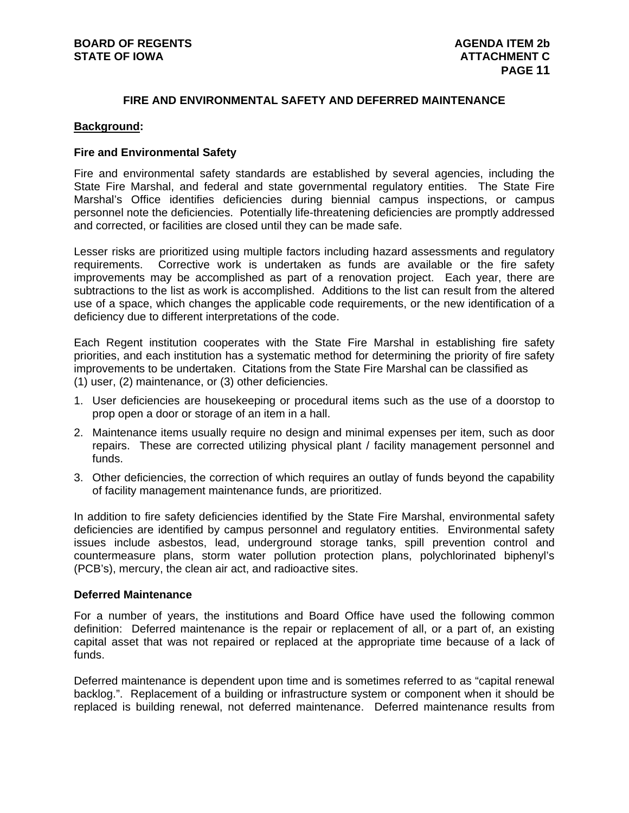# **FIRE AND ENVIRONMENTAL SAFETY AND DEFERRED MAINTENANCE**

#### **Background:**

#### **Fire and Environmental Safety**

Fire and environmental safety standards are established by several agencies, including the State Fire Marshal, and federal and state governmental regulatory entities. The State Fire Marshal's Office identifies deficiencies during biennial campus inspections, or campus personnel note the deficiencies. Potentially life-threatening deficiencies are promptly addressed and corrected, or facilities are closed until they can be made safe.

Lesser risks are prioritized using multiple factors including hazard assessments and regulatory requirements. Corrective work is undertaken as funds are available or the fire safety improvements may be accomplished as part of a renovation project. Each year, there are subtractions to the list as work is accomplished. Additions to the list can result from the altered use of a space, which changes the applicable code requirements, or the new identification of a deficiency due to different interpretations of the code.

Each Regent institution cooperates with the State Fire Marshal in establishing fire safety priorities, and each institution has a systematic method for determining the priority of fire safety improvements to be undertaken. Citations from the State Fire Marshal can be classified as (1) user, (2) maintenance, or (3) other deficiencies.

- 1. User deficiencies are housekeeping or procedural items such as the use of a doorstop to prop open a door or storage of an item in a hall.
- 2. Maintenance items usually require no design and minimal expenses per item, such as door repairs. These are corrected utilizing physical plant / facility management personnel and funds.
- 3. Other deficiencies, the correction of which requires an outlay of funds beyond the capability of facility management maintenance funds, are prioritized.

In addition to fire safety deficiencies identified by the State Fire Marshal, environmental safety deficiencies are identified by campus personnel and regulatory entities. Environmental safety issues include asbestos, lead, underground storage tanks, spill prevention control and countermeasure plans, storm water pollution protection plans, polychlorinated biphenyl's (PCB's), mercury, the clean air act, and radioactive sites.

#### **Deferred Maintenance**

For a number of years, the institutions and Board Office have used the following common definition: Deferred maintenance is the repair or replacement of all, or a part of, an existing capital asset that was not repaired or replaced at the appropriate time because of a lack of funds.

Deferred maintenance is dependent upon time and is sometimes referred to as "capital renewal backlog.". Replacement of a building or infrastructure system or component when it should be replaced is building renewal, not deferred maintenance. Deferred maintenance results from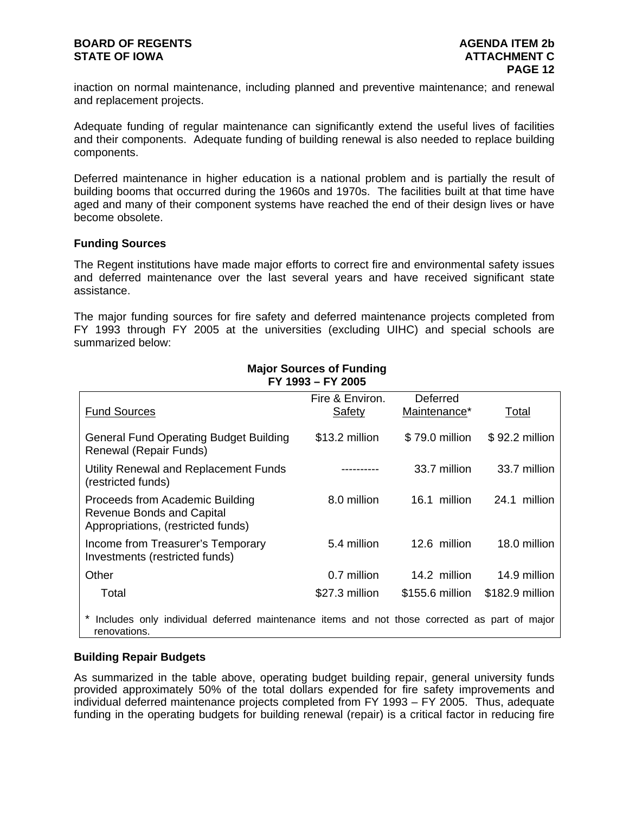# **BOARD OF REGENTS AGENUS AGENDA ITEM 2b STATE OF IOWA ATTACHMENT C**

inaction on normal maintenance, including planned and preventive maintenance; and renewal and replacement projects.

Adequate funding of regular maintenance can significantly extend the useful lives of facilities and their components. Adequate funding of building renewal is also needed to replace building components.

Deferred maintenance in higher education is a national problem and is partially the result of building booms that occurred during the 1960s and 1970s. The facilities built at that time have aged and many of their component systems have reached the end of their design lives or have become obsolete.

#### **Funding Sources**

The Regent institutions have made major efforts to correct fire and environmental safety issues and deferred maintenance over the last several years and have received significant state assistance.

The major funding sources for fire safety and deferred maintenance projects completed from FY 1993 through FY 2005 at the universities (excluding UIHC) and special schools are summarized below:

| <b>Fund Sources</b>                                                                                          | Fire & Environ.<br>Safety | Deferred<br>Maintenance* | Total           |
|--------------------------------------------------------------------------------------------------------------|---------------------------|--------------------------|-----------------|
|                                                                                                              |                           |                          |                 |
| <b>General Fund Operating Budget Building</b><br>Renewal (Repair Funds)                                      | \$13.2 million            | \$79.0 million           | \$92.2 million  |
| Utility Renewal and Replacement Funds<br>(restricted funds)                                                  |                           | 33.7 million             | 33.7 million    |
| Proceeds from Academic Building<br><b>Revenue Bonds and Capital</b><br>Appropriations, (restricted funds)    | 8.0 million               | 16.1 million             | 24.1 million    |
| Income from Treasurer's Temporary<br>Investments (restricted funds)                                          | 5.4 million               | 12.6 million             | 18.0 million    |
| Other                                                                                                        | 0.7 million               | 14.2 million             | 14.9 million    |
| Total                                                                                                        | \$27.3 million            | \$155.6 million          | \$182.9 million |
| Includes only individual deferred maintenance items and not those corrected as part of major<br>renovations. |                           |                          |                 |

#### **Major Sources of Funding FY 1993 – FY 2005**

#### **Building Repair Budgets**

As summarized in the table above, operating budget building repair, general university funds provided approximately 50% of the total dollars expended for fire safety improvements and individual deferred maintenance projects completed from FY 1993 – FY 2005. Thus, adequate funding in the operating budgets for building renewal (repair) is a critical factor in reducing fire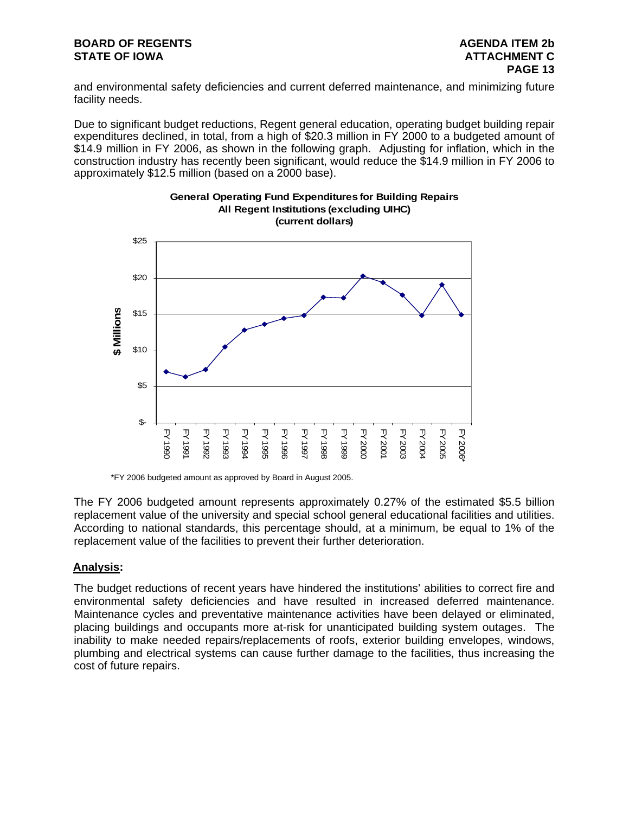# **BOARD OF REGENTS AGENUS AGENDA ITEM 2b STATE OF IOWA ATTACHMENT C**

and environmental safety deficiencies and current deferred maintenance, and minimizing future facility needs.

Due to significant budget reductions, Regent general education, operating budget building repair expenditures declined, in total, from a high of \$20.3 million in FY 2000 to a budgeted amount of \$14.9 million in FY 2006, as shown in the following graph. Adjusting for inflation, which in the construction industry has recently been significant, would reduce the \$14.9 million in FY 2006 to approximately \$12.5 million (based on a 2000 base).



# **General Operating Fund Expenditures for Building Repairs All Regent Institutions (excluding UIHC) (current dollars)**

\*FY 2006 budgeted amount as approved by Board in August 2005.

The FY 2006 budgeted amount represents approximately 0.27% of the estimated \$5.5 billion replacement value of the university and special school general educational facilities and utilities. According to national standards, this percentage should, at a minimum, be equal to 1% of the replacement value of the facilities to prevent their further deterioration.

# **Analysis:**

The budget reductions of recent years have hindered the institutions' abilities to correct fire and environmental safety deficiencies and have resulted in increased deferred maintenance. Maintenance cycles and preventative maintenance activities have been delayed or eliminated, placing buildings and occupants more at-risk for unanticipated building system outages. The inability to make needed repairs/replacements of roofs, exterior building envelopes, windows, plumbing and electrical systems can cause further damage to the facilities, thus increasing the cost of future repairs.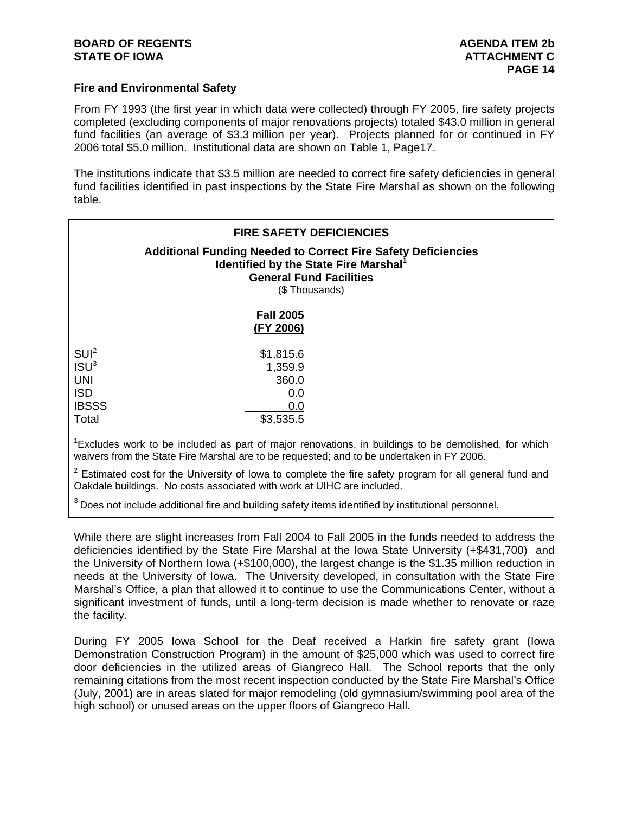#### **Fire and Environmental Safety**

From FY 1993 (the first year in which data were collected) through FY 2005, fire safety projects completed (excluding components of major renovations projects) totaled \$43.0 million in general fund facilities (an average of \$3.3 million per year). Projects planned for or continued in FY 2006 total \$5.0 million. Institutional data are shown on Table 1, Page17.

The institutions indicate that \$3.5 million are needed to correct fire safety deficiencies in general fund facilities identified in past inspections by the State Fire Marshal as shown on the following table.

|                                                                                           | <b>FIRE SAFETY DEFICIENCIES</b><br><b>Additional Funding Needed to Correct Fire Safety Deficiencies</b><br>Identified by the State Fire Marshal <sup>1</sup><br><b>General Fund Facilities</b><br>(\$Thousands) |
|-------------------------------------------------------------------------------------------|-----------------------------------------------------------------------------------------------------------------------------------------------------------------------------------------------------------------|
|                                                                                           | <b>Fall 2005</b><br>(FY 2006)                                                                                                                                                                                   |
| SUI <sup>2</sup><br>ISU <sup>3</sup><br><b>UNI</b><br><b>ISD</b><br><b>IBSSS</b><br>Total | \$1,815.6<br>1,359.9<br>360.0<br>0.0<br>0.0<br>\$3,535.5                                                                                                                                                        |
|                                                                                           | <sup>1</sup> Excludes work to be included as part of major renovations, in buildings to be demolished, for which<br>waivers from the State Fire Marshal are to be requested; and to be undertaken in FY 2006.   |

 $2$  Estimated cost for the University of lowa to complete the fire safety program for all general fund and Oakdale buildings. No costs associated with work at UIHC are included.

 $3$  Does not include additional fire and building safety items identified by institutional personnel.

While there are slight increases from Fall 2004 to Fall 2005 in the funds needed to address the deficiencies identified by the State Fire Marshal at the Iowa State University (+\$431,700) and the University of Northern Iowa (+\$100,000), the largest change is the \$1.35 million reduction in needs at the University of Iowa. The University developed, in consultation with the State Fire Marshal's Office, a plan that allowed it to continue to use the Communications Center, without a significant investment of funds, until a long-term decision is made whether to renovate or raze the facility.

During FY 2005 Iowa School for the Deaf received a Harkin fire safety grant (Iowa Demonstration Construction Program) in the amount of \$25,000 which was used to correct fire door deficiencies in the utilized areas of Giangreco Hall. The School reports that the only remaining citations from the most recent inspection conducted by the State Fire Marshal's Office (July, 2001) are in areas slated for major remodeling (old gymnasium/swimming pool area of the high school) or unused areas on the upper floors of Giangreco Hall.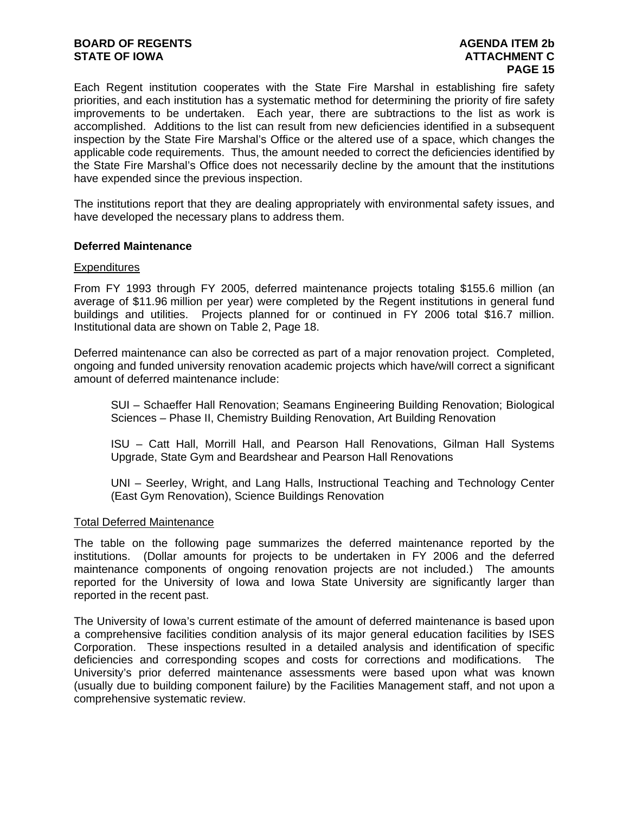# **BOARD OF REGENTS AGENDA ITEM 2b STATE OF IOWA ATTACHMENT C**

Each Regent institution cooperates with the State Fire Marshal in establishing fire safety priorities, and each institution has a systematic method for determining the priority of fire safety improvements to be undertaken. Each year, there are subtractions to the list as work is accomplished. Additions to the list can result from new deficiencies identified in a subsequent inspection by the State Fire Marshal's Office or the altered use of a space, which changes the applicable code requirements. Thus, the amount needed to correct the deficiencies identified by the State Fire Marshal's Office does not necessarily decline by the amount that the institutions have expended since the previous inspection.

The institutions report that they are dealing appropriately with environmental safety issues, and have developed the necessary plans to address them.

#### **Deferred Maintenance**

#### **Expenditures**

From FY 1993 through FY 2005, deferred maintenance projects totaling \$155.6 million (an average of \$11.96 million per year) were completed by the Regent institutions in general fund buildings and utilities. Projects planned for or continued in FY 2006 total \$16.7 million. Institutional data are shown on Table 2, Page 18.

Deferred maintenance can also be corrected as part of a major renovation project. Completed, ongoing and funded university renovation academic projects which have/will correct a significant amount of deferred maintenance include:

SUI – Schaeffer Hall Renovation; Seamans Engineering Building Renovation; Biological Sciences – Phase II, Chemistry Building Renovation, Art Building Renovation

ISU – Catt Hall, Morrill Hall, and Pearson Hall Renovations, Gilman Hall Systems Upgrade, State Gym and Beardshear and Pearson Hall Renovations

UNI – Seerley, Wright, and Lang Halls, Instructional Teaching and Technology Center (East Gym Renovation), Science Buildings Renovation

#### Total Deferred Maintenance

The table on the following page summarizes the deferred maintenance reported by the institutions. (Dollar amounts for projects to be undertaken in FY 2006 and the deferred maintenance components of ongoing renovation projects are not included.) The amounts reported for the University of Iowa and Iowa State University are significantly larger than reported in the recent past.

The University of Iowa's current estimate of the amount of deferred maintenance is based upon a comprehensive facilities condition analysis of its major general education facilities by ISES Corporation. These inspections resulted in a detailed analysis and identification of specific deficiencies and corresponding scopes and costs for corrections and modifications. The University's prior deferred maintenance assessments were based upon what was known (usually due to building component failure) by the Facilities Management staff, and not upon a comprehensive systematic review.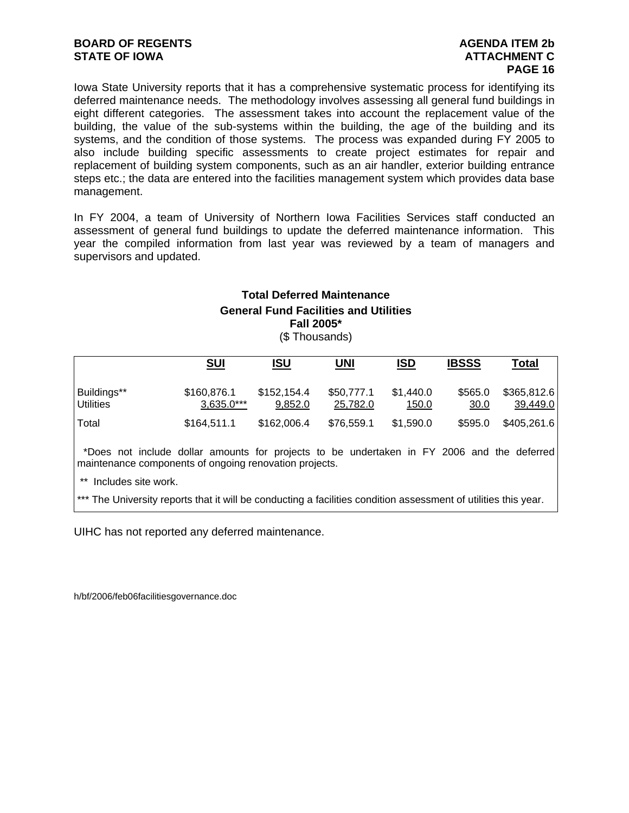# **BOARD OF REGENTS AGENUS AGENDA ITEM 2b STATE OF IOWA ATTACHMENT C**

# **PAGE 16**

Iowa State University reports that it has a comprehensive systematic process for identifying its deferred maintenance needs. The methodology involves assessing all general fund buildings in eight different categories. The assessment takes into account the replacement value of the building, the value of the sub-systems within the building, the age of the building and its systems, and the condition of those systems. The process was expanded during FY 2005 to also include building specific assessments to create project estimates for repair and replacement of building system components, such as an air handler, exterior building entrance steps etc.; the data are entered into the facilities management system which provides data base management.

In FY 2004, a team of University of Northern Iowa Facilities Services staff conducted an assessment of general fund buildings to update the deferred maintenance information. This year the compiled information from last year was reviewed by a team of managers and supervisors and updated.

# **Total Deferred Maintenance General Fund Facilities and Utilities Fall 2005\***

| (\$Thousands) |  |
|---------------|--|
|---------------|--|

|                                                                                                                                                      | <u>SUI</u>                  | ISU                    | <b>UNI</b>             | <b>ISD</b>         | <b>IBSSS</b>    | <b>Total</b>            |
|------------------------------------------------------------------------------------------------------------------------------------------------------|-----------------------------|------------------------|------------------------|--------------------|-----------------|-------------------------|
| Buildings**<br><b>Utilities</b>                                                                                                                      | \$160,876.1<br>$3,635.0***$ | \$152,154.4<br>9,852.0 | \$50,777.1<br>25,782.0 | \$1,440.0<br>150.0 | \$565.0<br>30.0 | \$365,812.6<br>39,449.0 |
| Total                                                                                                                                                | \$164,511.1                 | \$162,006.4            | \$76,559.1             | \$1,590.0          | \$595.0         | \$405,261.6             |
| *Does not include dollar amounts for projects to be undertaken in FY 2006 and the deferred<br>maintenance components of ongoing renovation projects. |                             |                        |                        |                    |                 |                         |
| $***$<br>Includes site work.                                                                                                                         |                             |                        |                        |                    |                 |                         |

\*\*\* The University reports that it will be conducting a facilities condition assessment of utilities this year.

UIHC has not reported any deferred maintenance.

h/bf/2006/feb06facilitiesgovernance.doc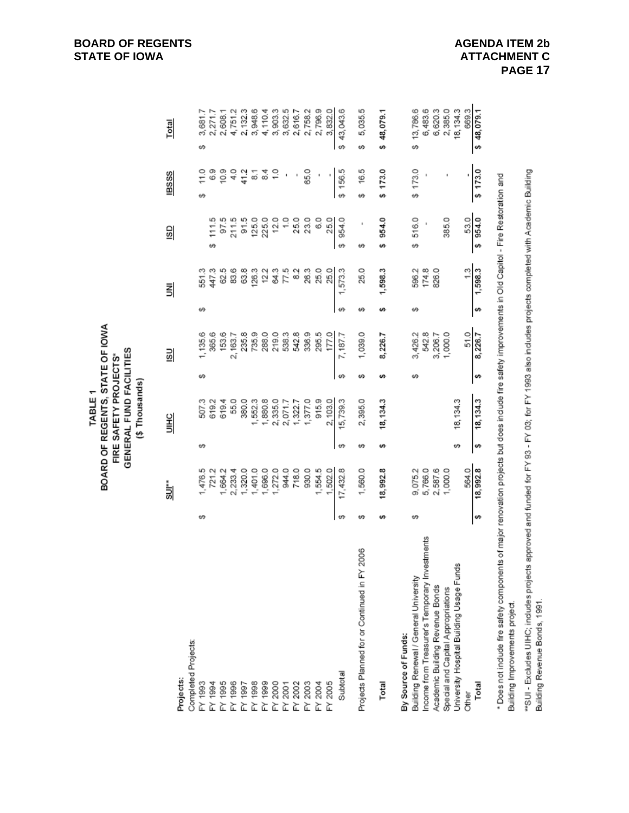| Completed Projects:<br>Projects:                  | i⊔≋      |    | UIHC      |    | <b>SU</b> |    | 뢰             | 9               | <b>IBSSS</b>        | Total                |
|---------------------------------------------------|----------|----|-----------|----|-----------|----|---------------|-----------------|---------------------|----------------------|
|                                                   |          |    |           |    |           |    |               |                 |                     |                      |
|                                                   |          |    |           |    |           |    |               |                 |                     |                      |
| ↮<br>FY 1993                                      | 1,476.5  | ø  | 507.3     | ₩  | 1,135.6   | υĢ | 551.3         |                 | $\frac{0}{11}$<br>ø | 3,681.7<br>↮         |
| FY 1994                                           | 721.2    |    | 619.2     |    | 365.6     |    | 447.3         | 111.5<br>↮      | 83                  | 2,271.7              |
| FY 1995                                           | 1,664.2  |    | 619.4     |    | 153.6     |    | 62.5          | 97.5            | 0.9                 | 2,608.1              |
| FY 1996                                           | 2,233.4  |    | 55.0      |    | 2,163.7   |    | 83.6          | 211.5           | $\frac{0}{4}$       | 4,751.2              |
| FY 1997                                           | 1,320.0  |    | 380.0     |    | 235.8     |    | 63.8          | 91.5            | 41.2                | 2,132.3              |
| FY 1998                                           | 1,401.0  |    | 1,552.3   |    | 735.9     |    | 126.3         | 125.0<br>225.0  | 등                   | 3,948.6              |
| FY 1999                                           | 1,696.0  |    | 1,880.8   |    | 288.0     |    | 12.2          |                 | 3                   | 4,110.4              |
|                                                   | 1,272.0  |    | 2,335.0   |    | 219.0     |    | S4.3          | 12.0            |                     | 3,903.3              |
|                                                   | 944.0    |    | 2,071.7   |    | 538.3     |    | $\frac{7}{5}$ | $\frac{0}{1}$   |                     | 3,632.5              |
| 타 2000<br>FM 2001<br>FM 2002                      | 718.0    |    | 1,322.7   |    | 542.8     |    | $\frac{2}{3}$ | 25.0            |                     | 2,616.7              |
| FY 2003                                           | 930.0    |    | 1,377.0   |    | 336.9     |    | 26.3          | 23.0            | 65.0                | 2,758.2              |
| FY 2004                                           | 1,554.5  |    | 915.9     |    | 295.5     |    | 25.0          | 8.0             |                     | 2,796.9              |
| FY 2005                                           | 1,502.0  |    | 2,103.0   |    | 177.0     |    | 25.0          | 25.0            | ł                   | 3,832.0              |
| w<br>Subtotal                                     | 17,432.8 | ø  | 15,739.3  | ₩  | 7,187.7   | w  | 1,573.3       | 954.0<br>₩      | \$156.5             | 43,043.6<br>$\omega$ |
| 凸<br>Projects Planned for or Continued in FY 2006 | 1,560.0  | Ψł | 2,395.0   | ↮  | 1,039.0   | မာ | 25.0          | ŧ<br>↮          | 16.5<br>Ψł          | 5,035.5<br>↮         |
| ശ<br>Total                                        | 18,992.8 | s  | 18, 134.3 | s  | 8,226.7   |    | 1,598.3       | 954.0<br>s      | \$173.0             | \$48,079.1           |
| By Source of Funds:                               |          |    |           |    |           |    |               |                 |                     |                      |
| မာ<br>Building Renewal / General University       | 9,075.2  |    |           | tĄ | 3,426.2   | ω  | 596.2         | 516.0<br>↮      | \$173.0             | 13,786.6<br>ø        |
| Income from Treasurer's Temporary Investments     | 5,766.0  |    |           |    | 542.8     |    | 174.8         |                 |                     | 6,483.6              |
| Academic Building Revenue Bonds                   | 2,587.6  |    |           |    | 3,206.7   |    | 826.0         |                 |                     | 6,620.3              |
| Special and Capital Appropriations                | 1,000.0  |    |           |    | 1,000.0   |    |               | 385.0           |                     | 2,385.0              |
| University Hospital Building Usage Funds          |          | 69 | 18, 134.3 |    |           |    |               |                 |                     | 18, 134.3            |
| <b>Other</b>                                      | 564.0    |    |           |    | 51.0      |    | 1,598.3       | 53.0<br>\$954.0 |                     | 669.3                |
| v<br>Total                                        | 18,992.8 | s  | 18, 134.3 | s  | 8,226.7   |    |               |                 | \$173.0             | \$48,079.1           |

BOARD OF REGENTS, STATE OF IOWA FIRE SAFETY PROJECTS\*<br>GENERAL FUND FACILITIES (\$Thousands) TABLE<sub>1</sub>

"SUI- Excludes UIHC; indudes projects approved and funded for FY 93 - FY 03; for FY 1993 also includes projects completed with Academic Building Building Revenue Bonds, 1991.